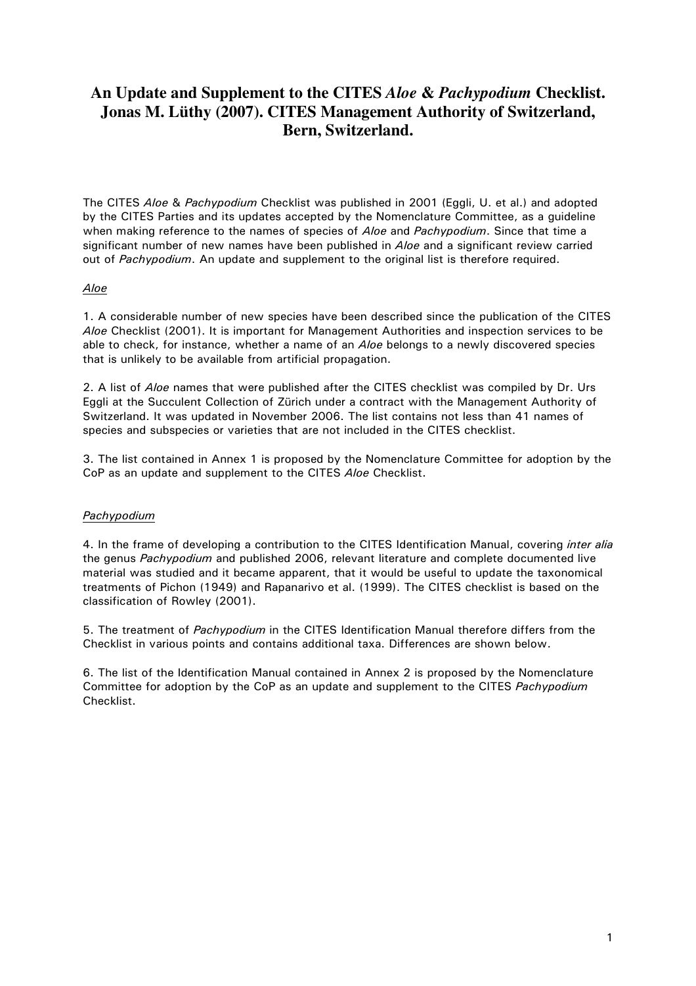# An Update and Supplement to the CITES Aloe & Pachypodium Checklist. Jonas M. Lüthy (2007). CITES Management Authority of Switzerland. Bern, Switzerland.

The CITES Aloe & Pachypodium Checklist was published in 2001 (Eggli, U. et al.) and adopted by the CITES Parties and its updates accepted by the Nomenclature Committee, as a quideline when making reference to the names of species of Aloe and Pachypodium. Since that time a significant number of new names have been published in Aloe and a significant review carried out of Pachypodium. An update and supplement to the original list is therefore required.

## Aloe

1. A considerable number of new species have been described since the publication of the CITES Aloe Checklist (2001). It is important for Management Authorities and inspection services to be able to check, for instance, whether a name of an *Aloe* belongs to a newly discovered species that is unlikely to be available from artificial propagation.

2. A list of *Aloe* names that were published after the CITES checklist was compiled by Dr. Urs Eggli at the Succulent Collection of Zürich under a contract with the Management Authority of Switzerland. It was updated in November 2006. The list contains not less than 41 names of species and subspecies or varieties that are not included in the CITES checklist.

3. The list contained in Annex 1 is proposed by the Nomenclature Committee for adoption by the CoP as an update and supplement to the CITES Aloe Checklist.

## Pachypodium

4. In the frame of developing a contribution to the CITES Identification Manual, covering inter alia the genus Pachypodium and published 2006, relevant literature and complete documented live material was studied and it became apparent, that it would be useful to update the taxonomical treatments of Pichon (1949) and Rapanarivo et al. (1999). The CITES checklist is based on the classification of Rowley (2001).

5. The treatment of Pachypodium in the CITES Identification Manual therefore differs from the Checklist in various points and contains additional taxa. Differences are shown below.

6. The list of the Identification Manual contained in Annex 2 is proposed by the Nomenclature Committee for adoption by the CoP as an update and supplement to the CITES Pachypodium Checklist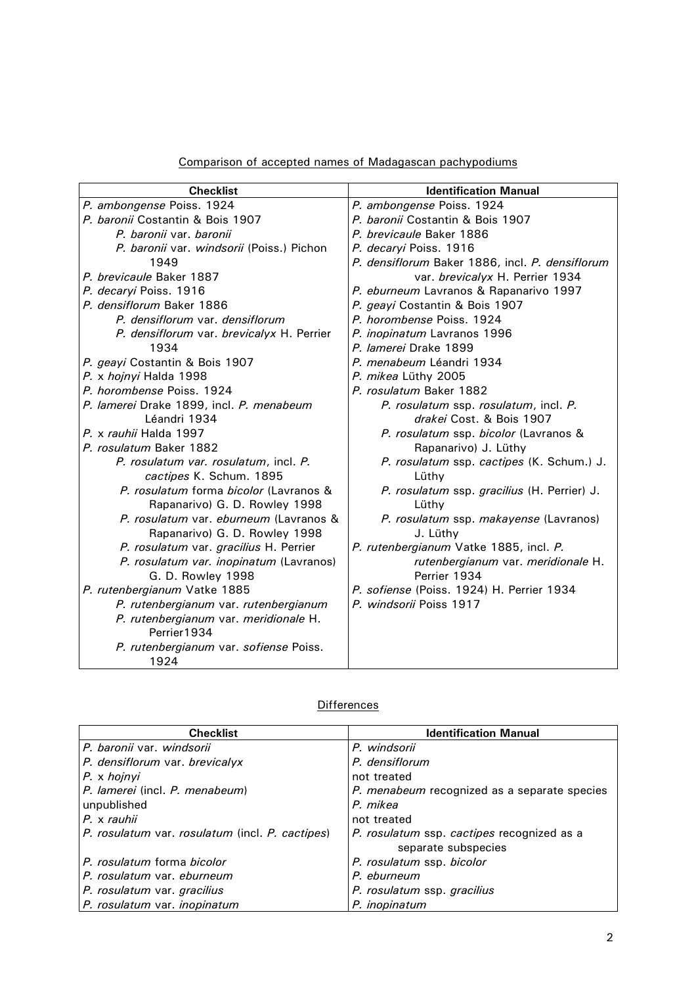|  |  | Comparison of accepted names of Madagascan pachypodiums |  |  |  |  |  |
|--|--|---------------------------------------------------------|--|--|--|--|--|
|--|--|---------------------------------------------------------|--|--|--|--|--|

| <b>Checklist</b>                          | <b>Identification Manual</b>                    |
|-------------------------------------------|-------------------------------------------------|
| P. ambongense Poiss. 1924                 | P. ambongense Poiss. 1924                       |
| P. baronii Costantin & Bois 1907          | P. baronii Costantin & Bois 1907                |
| P. baronii var. baronii                   | P. brevicaule Baker 1886                        |
| P. baronii var. windsorii (Poiss.) Pichon | P. decaryi Poiss. 1916                          |
| 1949                                      | P. densiflorum Baker 1886, incl. P. densiflorum |
| P. brevicaule Baker 1887                  | var. brevicalyx H. Perrier 1934                 |
| P. decaryi Poiss. 1916                    | P. eburneum Lavranos & Rapanarivo 1997          |
| P. densiflorum Baker 1886                 | P. geayi Costantin & Bois 1907                  |
| P. densiflorum var. densiflorum           | P. horombense Poiss. 1924                       |
| P. densiflorum var. brevicalyx H. Perrier | P. inopinatum Lavranos 1996                     |
| 1934                                      | P. lamerei Drake 1899                           |
| P. geayi Costantin & Bois 1907            | P. menabeum Léandri 1934                        |
| P. x hojnyi Halda 1998                    | P. mikea Lüthy 2005                             |
| P. horombense Poiss. 1924                 | P. rosulatum Baker 1882                         |
| P. lamerei Drake 1899, incl. P. menabeum  | P. rosulatum ssp. rosulatum, incl. P.           |
| Léandri 1934                              | drakei Cost. & Bois 1907                        |
| P. x rauhii Halda 1997                    | P. rosulatum ssp. bicolor (Lavranos &           |
| P. rosulatum Baker 1882                   | Rapanarivo) J. Lüthy                            |
| P. rosulatum var. rosulatum, incl. P.     | P. rosulatum ssp. cactipes (K. Schum.) J.       |
| cactipes K. Schum. 1895                   | Lüthy                                           |
| P. rosulatum forma bicolor (Lavranos &    | P. rosulatum ssp. gracilius (H. Perrier) J.     |
| Rapanarivo) G. D. Rowley 1998             | Lüthy                                           |
| P. rosulatum var. eburneum (Lavranos &    | P. rosulatum ssp. makayense (Lavranos)          |
| Rapanarivo) G. D. Rowley 1998             | J. Lüthy                                        |
| P. rosulatum var. gracilius H. Perrier    | P. rutenbergianum Vatke 1885, incl. P.          |
| P. rosulatum var. inopinatum (Lavranos)   | rutenbergianum var. meridionale H.              |
| G. D. Rowley 1998                         | Perrier 1934                                    |
| P. rutenbergianum Vatke 1885              | P. sofiense (Poiss. 1924) H. Perrier 1934       |
| P. rutenbergianum var. rutenbergianum     | P. windsorii Poiss 1917                         |
| P. rutenbergianum var. meridionale H.     |                                                 |
| Perrier1934                               |                                                 |
| P. rutenbergianum var. sofiense Poiss.    |                                                 |
| 1924                                      |                                                 |

# Differences

| <b>Checklist</b>                                | <b>Identification Manual</b>                 |
|-------------------------------------------------|----------------------------------------------|
| P. baronii var. windsorii                       | P. windsorii                                 |
| P. densiflorum var. brevicalyx                  | P. densiflorum                               |
| P. x hojnyi                                     | not treated                                  |
| P. lamerei (incl. P. menabeum)                  | P. menabeum recognized as a separate species |
| unpublished                                     | P. mikea                                     |
| P. x rauhii                                     | not treated                                  |
| P. rosulatum var. rosulatum (incl. P. cactipes) | P. rosulatum ssp. cactipes recognized as a   |
|                                                 | separate subspecies                          |
| P. rosulatum forma bicolor                      | P. rosulatum ssp. bicolor                    |
| P. rosulatum var. eburneum                      | P. eburneum                                  |
| P. rosulatum var. gracilius                     | P. rosulatum ssp. gracilius                  |
| P. rosulatum var. inopinatum                    | P. inopinatum                                |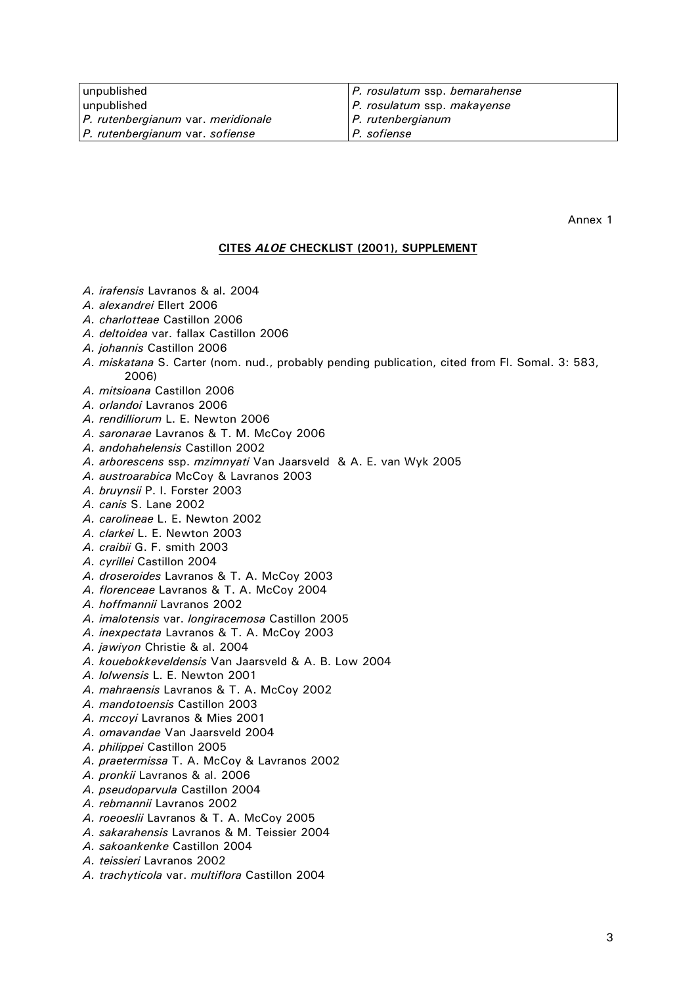| unpublished                        | P. rosulatum ssp. bemarahense  |
|------------------------------------|--------------------------------|
| unpublished                        | $ P.$ rosulatum ssp. makayense |
| P. rutenbergianum var. meridionale | $ P.$ rutenbergianum           |
| P. rutenbergianum var. sofiense    | <i>P. sofiense</i>             |

Annex 1

#### CITES ALOE CHECKLIST (2001), SUPPLEMENT

- A. irafensis Lavranos & al. 2004
- A. alexandrei Ellert 2006
- A. charlotteae Castillon 2006
- A. deltoidea var. fallax Castillon 2006
- A. johannis Castillon 2006
- A. miskatana S. Carter (nom. nud., probably pending publication, cited from Fl. Somal. 3: 583, 2006)
- A. mitsioana Castillon 2006
- A. orlandoi Lavranos 2006
- A. rendilliorum L. E. Newton 2006
- A. saronarae Lavranos & T. M. McCoy 2006
- A. andohahelensis Castillon 2002
- A. arborescens ssp. mzimnyati Van Jaarsveld & A. E. van Wyk 2005
- A. austroarabica McCoy & Lavranos 2003
- A. bruynsii P. I. Forster 2003
- A. canis S. Lane 2002
- A. carolineae L. E. Newton 2002
- A. clarkei L. E. Newton 2003
- A. craibii G. F. smith 2003
- A. cyrillei Castillon 2004
- A. droseroides Lavranos & T. A. McCoy 2003
- A. florenceae Lavranos & T. A. McCoy 2004
- A. hoffmannii Lavranos 2002
- A. imalotensis var. longiracemosa Castillon 2005
- A. inexpectata Lavranos & T. A. McCoy 2003
- A. jawiyon Christie & al. 2004
- A. kouebokkeveldensis Van Jaarsveld & A. B. Low 2004
- A. lolwensis L. E. Newton 2001
- A. mahraensis Lavranos & T. A. McCov 2002
- A. mandotoensis Castillon 2003
- A. mccoyi Lavranos & Mies 2001
- A. omavandae Van Jaarsveld 2004
- A. philippei Castillon 2005
- A. praetermissa T. A. McCoy & Lavranos 2002
- A. pronkii Lavranos & al. 2006
- A. pseudoparvula Castillon 2004
- A. rebmannii Lavranos 2002
- A. roeoeslii Lavranos & T. A. McCov 2005
- A. sakarahensis Lavranos & M. Teissier 2004
- A. sakoankenke Castillon 2004
- A. teissieri Lavranos 2002
- A. trachyticola var. multiflora Castillon 2004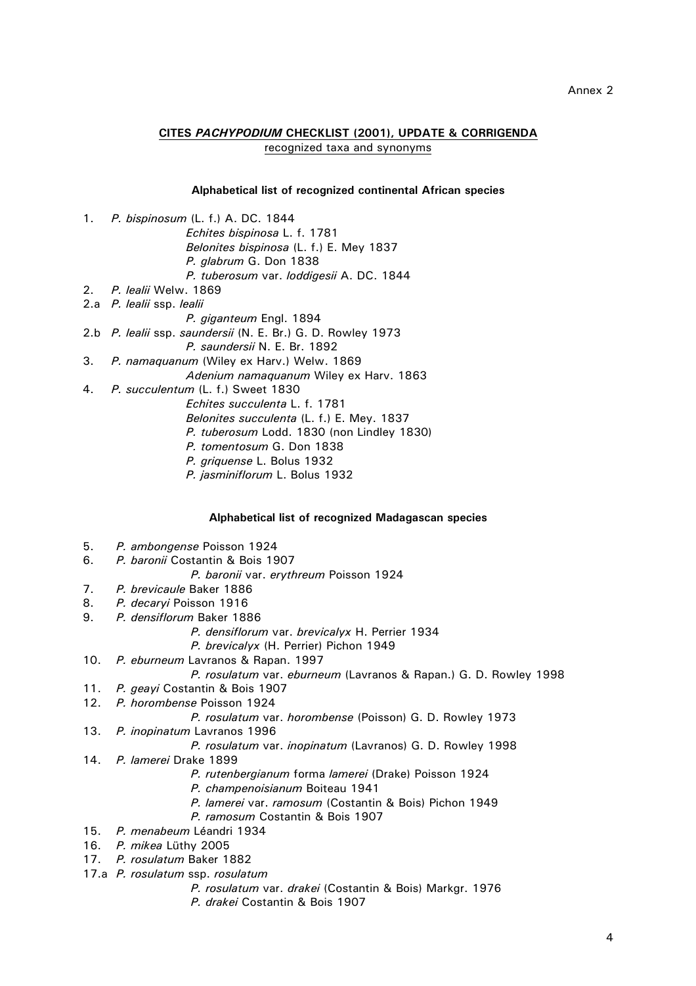## CITES PACHYPODIUM CHECKLIST (2001), UPDATE & CORRIGENDA recognized taxa and synonyms

#### Alphabetical list of recognized continental African species

- $1.$ P. bispinosum (L. f.) A. DC. 1844 Echites bispinosa L. f. 1781
	- Belonites bispinosa (L. f.) E. Mey 1837 P. glabrum G. Don 1838 P. tuberosum var. loddigesii A. DC. 1844
- $2.$ P. lealii Welw. 1869
- 2.a P. lealii ssp. lealii
	- P. giganteum Engl. 1894
- 2.b P. lealii ssp. saundersii (N. E. Br.) G. D. Rowley 1973
	- P. saundersii N. E. Br. 1892
- $3.$ P. namaguanum (Wiley ex Harv.) Welw. 1869
	- Adenium namaquanum Wiley ex Harv. 1863
- $4<sup>1</sup>$ P. succulentum (L. f.) Sweet 1830
	- Echites succulenta L. f. 1781
		- Belonites succulenta (L. f.) E. Mey. 1837
		- P. tuberosum Lodd. 1830 (non Lindley 1830)
		- P. tomentosum G. Don 1838 P. griguense L. Bolus 1932
		- P. jasminiflorum L. Bolus 1932

### Alphabetical list of recognized Madagascan species

- 5. P. ambongense Poisson 1924
- 6 P. baronii Costantin & Bois 1907
	- P. baronii var. erythreum Poisson 1924
- $7<sup>1</sup>$ P. brevicaule Baker 1886
- P. decaryi Poisson 1916  $\mathsf{R}$
- 9. P. densiflorum Baker 1886
	- P. densiflorum var. brevicalyx H. Perrier 1934
	- P. brevicalyx (H. Perrier) Pichon 1949
- $10.$ P. eburneum Lavranos & Rapan. 1997
	- P. rosulatum var. eburneum (Lavranos & Rapan.) G. D. Rowley 1998
- $11.$ P. geavi Costantin & Bois 1907
- $12.$ P. horombense Poisson 1924
	- P. rosulatum var. horombense (Poisson) G. D. Rowley 1973
- $13.$ P. inopinatum Lavranos 1996

### P. rosulatum var. inopinatum (Lavranos) G. D. Rowley 1998

- $14.$ P. lamerei Drake 1899
	- P. rutenbergianum forma lamerei (Drake) Poisson 1924
	- P. champenoisianum Boiteau 1941
	- P. lamerei var. ramosum (Costantin & Bois) Pichon 1949
	- P. ramosum Costantin & Bois 1907
- $15.$ P. menabeum Léandri 1934
- 16. P. mikea Lüthy 2005
- 17. P. rosulatum Baker 1882
- 17.a P. rosulatum ssp. rosulatum
	- P. rosulatum var. drakei (Costantin & Bois) Markgr. 1976
	- P. drakei Costantin & Bois 1907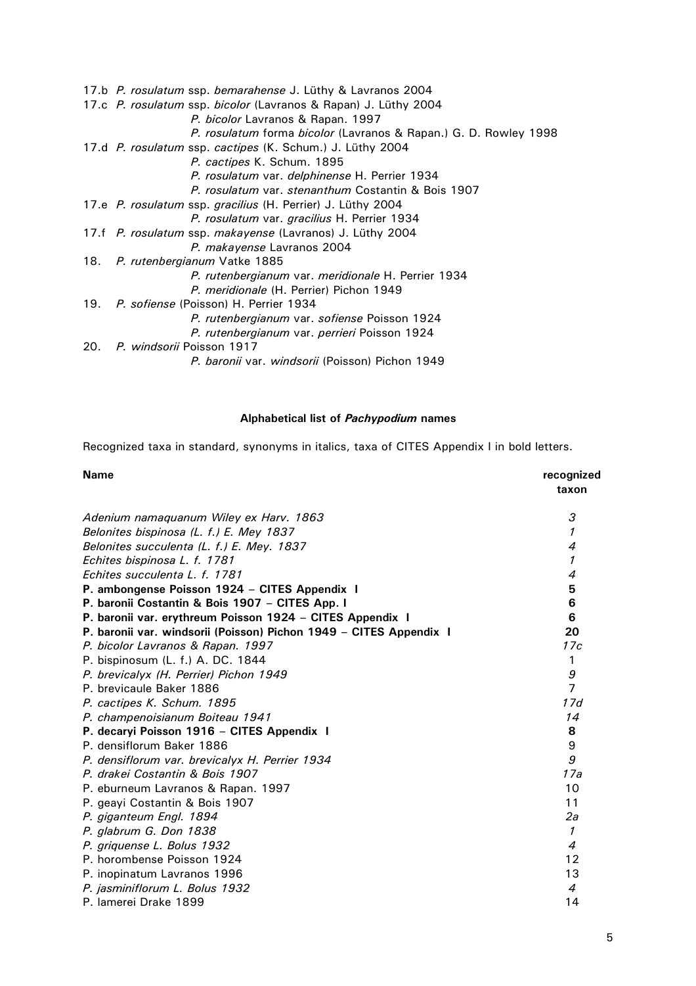17.b P. rosulatum ssp. bemarahense J. Lüthy & Lavranos 2004 17.c P. rosulatum ssp. bicolor (Lavranos & Rapan) J. Lüthy 2004 P. bicolor Lavranos & Rapan. 1997 P. rosulatum forma bicolor (Lavranos & Rapan.) G. D. Rowley 1998 17.d P. rosulatum ssp. cactipes (K. Schum.) J. Lüthy 2004 P. cactipes K. Schum. 1895 P. rosulatum var. delphinense H. Perrier 1934 P. rosulatum var. stenanthum Costantin & Bois 1907 17.e P. rosulatum ssp. gracilius (H. Perrier) J. Lüthy 2004 P. rosulatum var. gracilius H. Perrier 1934 17.f P. rosulatum ssp. makayense (Lavranos) J. Lüthy 2004 P. makayense Lavranos 2004 18. P. rutenbergianum Vatke 1885 P. rutenbergianum var. meridionale H. Perrier 1934 P. meridionale (H. Perrier) Pichon 1949  $19.$ P. sofiense (Poisson) H. Perrier 1934 P. rutenbergianum var. sofiense Poisson 1924 P. rutenbergianum var. perrieri Poisson 1924 20. P. windsorii Poisson 1917 P. baronii var. windsorii (Poisson) Pichon 1949

#### Alphabetical list of Pachypodium names

Recognized taxa in standard, synonyms in italics, taxa of CITES Appendix I in bold letters.

| <b>Name</b>                                                        | recognized<br>taxon |
|--------------------------------------------------------------------|---------------------|
| Adenium namaquanum Wiley ex Harv. 1863                             | 3                   |
| Belonites bispinosa (L. f.) E. Mey 1837                            | $\mathcal I$        |
| Belonites succulenta (L. f.) E. Mey. 1837                          | $\overline{4}$      |
| Echites bispinosa L. f. 1781                                       | $\mathcal I$        |
| Echites succulenta L. f. 1781                                      | 4                   |
| P. ambongense Poisson 1924 - CITES Appendix I                      | 5                   |
| P. baronii Costantin & Bois 1907 - CITES App. I                    | 6                   |
| P. baronii var. erythreum Poisson 1924 - CITES Appendix I          | 6                   |
| P. baronii var. windsorii (Poisson) Pichon 1949 - CITES Appendix I | 20                  |
| P. bicolor Lavranos & Rapan. 1997                                  | 17c                 |
| P. bispinosum (L. f.) A. DC. 1844                                  | 1                   |
| P. brevicalyx (H. Perrier) Pichon 1949                             | 9                   |
| P. brevicaule Baker 1886                                           | $\overline{7}$      |
| P. cactipes K. Schum. 1895                                         | 17d                 |
| P. champenoisianum Boiteau 1941                                    | 14                  |
| P. decaryi Poisson 1916 - CITES Appendix I                         | 8                   |
| P. densiflorum Baker 1886                                          | 9                   |
| P. densiflorum var. brevicalyx H. Perrier 1934                     | 9                   |
| P. drakej Costantin & Bois 1907                                    | 17a                 |
| P. eburneum Lavranos & Rapan. 1997                                 | 10                  |
| P. geayi Costantin & Bois 1907                                     | 11                  |
| P. giganteum Engl. 1894                                            | 2a                  |
| P. glabrum G. Don 1838                                             | $\mathcal I$        |
| P. griguense L. Bolus 1932                                         | $\overline{4}$      |
| P. horombense Poisson 1924                                         | 12                  |
| P. inopinatum Lavranos 1996                                        | 13                  |
| P. jasminiflorum L. Bolus 1932                                     | 4                   |
| P. lamerei Drake 1899                                              | 14                  |